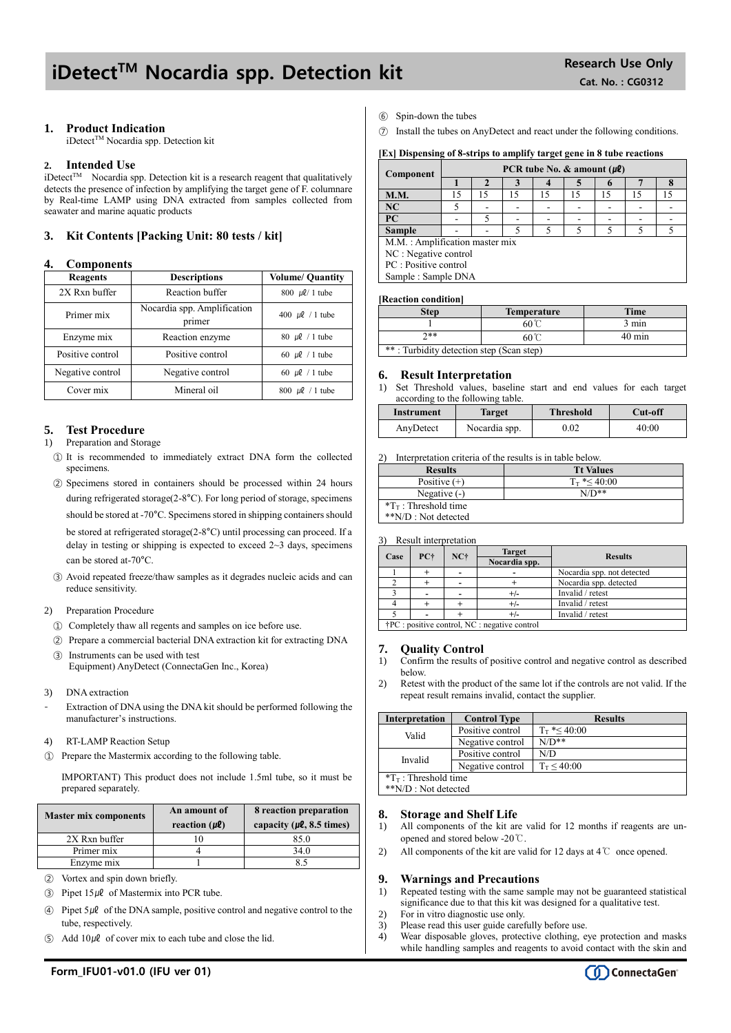# iDetect<sup>TM</sup> Nocardia spp. Detection kit Research Use Only

### **1. Product Indication**

iDetect™ Nocardia spp. Detection kit

#### **2. Intended Use**

 $i$ Detect<sup>TM</sup> Nocardia spp. Detection kit is a research reagent that qualitatively detects the presence of infection by amplifying the target gene of F. columnare by Real-time LAMP using DNA extracted from samples collected from seawater and marine aquatic products

### **3. Kit Contents [Packing Unit: 80 tests / kit]**

#### **4. Components**

| Reagents         | <b>Descriptions</b>                   | <b>Volume/ Quantity</b>           |  |
|------------------|---------------------------------------|-----------------------------------|--|
| 2X Rxn buffer    | Reaction buffer                       | 800 $\mu$ l/ 1 tube               |  |
| Primer mix       | Nocardia spp. Amplification<br>primer | 400 $\mu$ l / 1 tube              |  |
| Enzyme mix       | Reaction enzyme                       | $80 \text{ }\mu\text{}$ / 1 tube  |  |
| Positive control | Positive control                      | 60 $\mu$ l / 1 tube               |  |
| Negative control | Negative control                      | 60 $\mu$ l / 1 tube               |  |
| Cover mix        | Mineral oil                           | $800 \text{ }\mu\text{}$ / 1 tube |  |

#### **5. Test Procedure**

#### 1) Preparation and Storage

- ① It is recommended to immediately extract DNA form the collected specimens.
- ② Specimens stored in containers should be processed within 24 hours during refrigerated storage(2-8°C). For long period of storage, specimens should be stored at -70°C. Specimens stored in shipping containers should be stored at refrigerated storage(2-8°C) until processing can proceed. If a delay in testing or shipping is expected to exceed  $2 \sim 3$  days, specimens can be stored at-70°C.
- ③ Avoid repeated freeze/thaw samples as it degrades nucleic acids and can reduce sensitivity.

#### 2) Preparation Procedure

- ① Completely thaw all regents and samples on ice before use.
- ② Prepare a commercial bacterial DNA extraction kit for extracting DNA ③ Instruments can be used with test

Equipment) AnyDetect (ConnectaGen Inc., Korea)

- 3) DNA extraction
- Extraction of DNA using the DNA kit should be performed following the manufacturer's instructions.
- 4) RT-LAMP Reaction Setup
- ① Prepare the Mastermix according to the following table.

IMPORTANT) This product does not include 1.5ml tube, so it must be prepared separately.

| <b>Master mix components</b> | An amount of<br>reaction $(\mu \ell)$ | 8 reaction preparation<br>capacity ( $\mu$ <b>l</b> , 8.5 times) |  |  |
|------------------------------|---------------------------------------|------------------------------------------------------------------|--|--|
| 2X Rxn buffer                |                                       | 85.0                                                             |  |  |
| Primer mix                   |                                       | 34.0                                                             |  |  |
| Enzyme mix                   |                                       |                                                                  |  |  |

- ② Vortex and spin down briefly.
- $\textcircled{3}$  Pipet 15µl of Mastermix into PCR tube.
- $\widehat{A}$  Pipet 5µl of the DNA sample, positive control and negative control to the tube, respectively.
- Add  $10\mu\ell$  of cover mix to each tube and close the lid.
- ⑥ Spin-down the tubes
- ⑦ Install the tubes on AnyDetect and react under the following conditions.

#### **[Ex] Dispensing of 8-strips to amplify target gene in 8 tube reactions**

| Component                      | PCR tube No. $\&$ amount ( $\mu$ <i>l</i> ) |    |    |    |    |    |    |    |
|--------------------------------|---------------------------------------------|----|----|----|----|----|----|----|
|                                |                                             |    |    |    |    |    |    |    |
| <b>M.M.</b>                    | 15                                          | 15 | 15 | 15 | 15 | 15 | 15 | 15 |
| NC                             |                                             |    |    |    |    |    |    |    |
| PC                             |                                             |    |    |    |    |    |    |    |
| <b>Sample</b>                  |                                             |    |    |    |    |    |    |    |
| M.M.: Amplification master mix |                                             |    |    |    |    |    |    |    |
| NC : Negative control          |                                             |    |    |    |    |    |    |    |
| PC : Positive control          |                                             |    |    |    |    |    |    |    |
| Sample: Sample DNA             |                                             |    |    |    |    |    |    |    |

#### **[Reaction condition]**

| <b>Step</b>                              | <b>Temperature</b>               | <b>Time</b>     |  |  |
|------------------------------------------|----------------------------------|-----------------|--|--|
|                                          | $60^{\circ}$                     | $3 \text{ min}$ |  |  |
| ን**                                      | $40 \text{ min}$<br>$60^{\circ}$ |                 |  |  |
| **: Turbidity detection step (Scan step) |                                  |                 |  |  |

#### **6. Result Interpretation**

1) Set Threshold values, baseline start and end values for each target according to the following table.

| Instrument | Target        | <b>Threshold</b> | <b>Cut-off</b> |
|------------|---------------|------------------|----------------|
| AnyDetect  | Nocardia spp. | $0.02\,$         | 40:00          |

2) Interpretation criteria of the results is in table below.

| <b>Results</b>                  | <b>Tt Values</b>     |
|---------------------------------|----------------------|
| Positive $(+)$                  | $T_{\rm T}$ *< 40:00 |
| Negative $(-)$                  | $N/D**$              |
| $T_{\text{T}}$ : Threshold time |                      |
| **N/D : Not detected            |                      |

3) Result interpretation

| Case |                                                        | $NC+$ | <b>Target</b> |                            |
|------|--------------------------------------------------------|-------|---------------|----------------------------|
|      | PC†                                                    |       | Nocardia spp. | <b>Results</b>             |
|      |                                                        |       |               | Nocardia spp. not detected |
|      |                                                        |       |               | Nocardia spp. detected     |
|      |                                                        |       |               | Invalid / retest           |
|      |                                                        |       | $+/-$         | Invalid / retest           |
|      |                                                        |       |               | Invalid / retest           |
|      | $\dagger$ PC : positive control, NC : negative control |       |               |                            |

## **7. Quality Control**

- 1) Confirm the results of positive control and negative control as described below.
- 2) Retest with the product of the same lot if the controls are not valid. If the repeat result remains invalid, contact the supplier.

| <b>Interpretation</b>           | <b>Control Type</b> | <b>Results</b>       |  |  |
|---------------------------------|---------------------|----------------------|--|--|
| Valid                           | Positive control    | $T_{\rm T}$ *< 40:00 |  |  |
|                                 | Negative control    | $N/D**$              |  |  |
| Invalid                         | Positive control    | N/D                  |  |  |
|                                 | Negative control    | $T_T < 40:00$        |  |  |
| $T_{\text{T}}$ : Threshold time |                     |                      |  |  |
| **N/D : Not detected            |                     |                      |  |  |

#### **8. Storage and Shelf Life**

- 1) All components of the kit are valid for 12 months if reagents are unopened and stored below -20℃.
- 2) All components of the kit are valid for 12 days at 4℃ once opened.

#### **9. Warnings and Precautions**

- 1) Repeated testing with the same sample may not be guaranteed statistical significance due to that this kit was designed for a qualitative test.
- 2) For in vitro diagnostic use only.
- 3) Please read this user guide carefully before use.
- 4) Wear disposable gloves, protective clothing, eye protection and masks while handling samples and reagents to avoid contact with the skin and